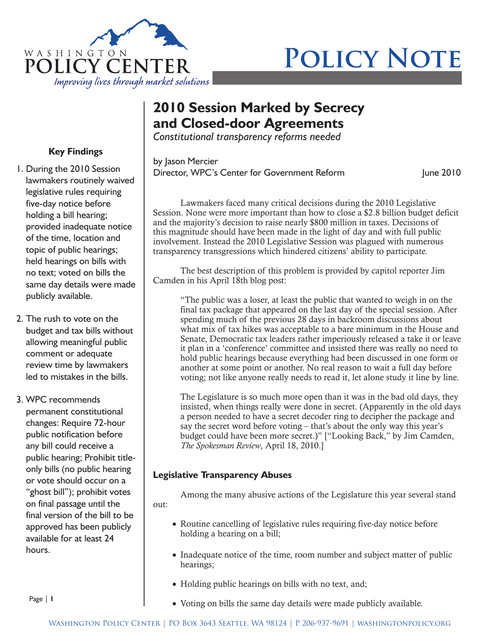

# **POLICY NOTE**

# **2010 Session Marked by Secrecy and Closed-door Agreements**

*Constitutional transparency reforms needed*

by Jason Mercier Director, WPC's Center for Government Reform June 2010

Lawmakers faced many critical decisions during the 2010 Legislative Session. None were more important than how to close a \$2.8 billion budget deficit and the majority's decision to raise nearly \$800 million in taxes. Decisions of this magnitude should have been made in the light of day and with full public involvement. Instead the 2010 Legislative Session was plagued with numerous transparency transgressions which hindered citizens' ability to participate.

The best description of this problem is provided by capitol reporter Jim Camden in his April 18th blog post:

"The public was a loser, at least the public that wanted to weigh in on the final tax package that appeared on the last day of the special session. After spending much of the previous 28 days in backroom discussions about what mix of tax hikes was acceptable to a bare minimum in the House and Senate, Democratic tax leaders rather imperiously released a take it or leave it plan in a 'conference' committee and insisted there was really no need to hold public hearings because everything had been discussed in one form or another at some point or another. No real reason to wait a full day before voting; not like anyone really needs to read it, let alone study it line by line.

The Legislature is so much more open than it was in the bad old days, they insisted, when things really were done in secret. (Apparently in the old days a person needed to have a secret decoder ring to decipher the package and say the secret word before voting – that's about the only way this year's budget could have been more secret.)" ["Looking Back," by Jim Camden, *The Spokesman Review*, April 18, 2010.]

## **Legislative Transparency Abuses**

Among the many abusive actions of the Legislature this year several stand out:

- Routine cancelling of legislative rules requiring five-day notice before holding a hearing on a bill;
- Inadequate notice of the time, room number and subject matter of public hearings;
- Holding public hearings on bills with no text, and;
- Voting on bills the same day details were made publicly available.

## **Key Findings**

- 1. During the 2010 Session lawmakers routinely waived legislative rules requiring five-day notice before holding a bill hearing; provided inadequate notice of the time, location and topic of public hearings; held hearings on bills with no text; voted on bills the same day details were made publicly available.
- 2. The rush to vote on the budget and tax bills without allowing meaningful public comment or adequate review time by lawmakers led to mistakes in the bills.

3. WPC recommends permanent constitutional changes: Require 72-hour public notification before any bill could receive a public hearing; Prohibit titleonly bills (no public hearing or vote should occur on a "ghost bill"); prohibit votes on final passage until the final version of the bill to be approved has been publicly available for at least 24 hours.

Page | **1**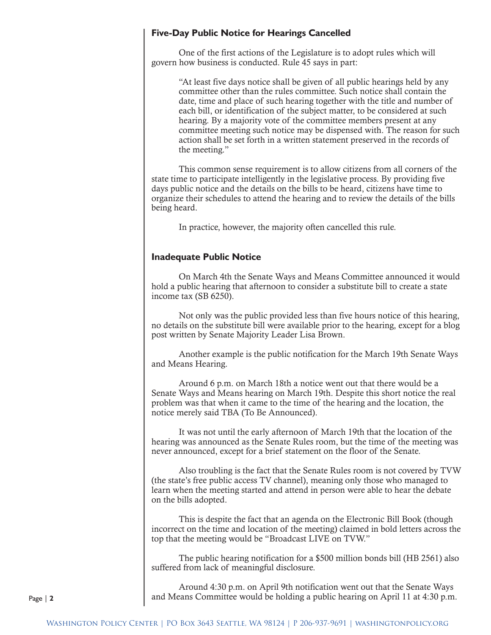#### **Five-Day Public Notice for Hearings Cancelled**

One of the first actions of the Legislature is to adopt rules which will govern how business is conducted. Rule 45 says in part:

"At least five days notice shall be given of all public hearings held by any committee other than the rules committee. Such notice shall contain the date, time and place of such hearing together with the title and number of each bill, or identification of the subject matter, to be considered at such hearing. By a majority vote of the committee members present at any committee meeting such notice may be dispensed with. The reason for such action shall be set forth in a written statement preserved in the records of the meeting."

This common sense requirement is to allow citizens from all corners of the state time to participate intelligently in the legislative process. By providing five days public notice and the details on the bills to be heard, citizens have time to organize their schedules to attend the hearing and to review the details of the bills being heard.

In practice, however, the majority often cancelled this rule.

#### **Inadequate Public Notice**

On March 4th the Senate Ways and Means Committee announced it would hold a public hearing that afternoon to consider a substitute bill to create a state income tax (SB 6250).

Not only was the public provided less than five hours notice of this hearing, no details on the substitute bill were available prior to the hearing, except for a blog post written by Senate Majority Leader Lisa Brown.

Another example is the public notification for the March 19th Senate Ways and Means Hearing.

Around 6 p.m. on March 18th a notice went out that there would be a Senate Ways and Means hearing on March 19th. Despite this short notice the real problem was that when it came to the time of the hearing and the location, the notice merely said TBA (To Be Announced).

It was not until the early afternoon of March 19th that the location of the hearing was announced as the Senate Rules room, but the time of the meeting was never announced, except for a brief statement on the floor of the Senate.

Also troubling is the fact that the Senate Rules room is not covered by TVW (the state's free public access TV channel), meaning only those who managed to learn when the meeting started and attend in person were able to hear the debate on the bills adopted.

This is despite the fact that an agenda on the Electronic Bill Book (though incorrect on the time and location of the meeting) claimed in bold letters across the top that the meeting would be "Broadcast LIVE on TVW."

The public hearing notification for a \$500 million bonds bill (HB 2561) also suffered from lack of meaningful disclosure.

Around 4:30 p.m. on April 9th notification went out that the Senate Ways and Means Committee would be holding a public hearing on April 11 at 4:30 p.m.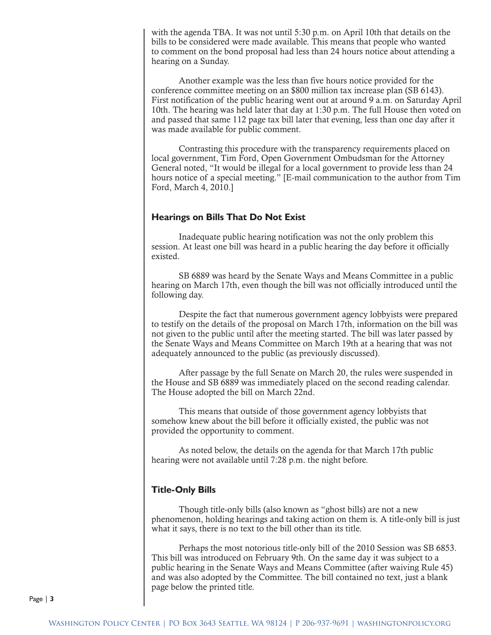with the agenda TBA. It was not until 5:30 p.m. on April 10th that details on the bills to be considered were made available. This means that people who wanted to comment on the bond proposal had less than 24 hours notice about attending a hearing on a Sunday.

Another example was the less than five hours notice provided for the conference committee meeting on an \$800 million tax increase plan (SB 6143). First notification of the public hearing went out at around 9 a.m. on Saturday April 10th. The hearing was held later that day at 1:30 p.m. The full House then voted on and passed that same 112 page tax bill later that evening, less than one day after it was made available for public comment.

Contrasting this procedure with the transparency requirements placed on local government, Tim Ford, Open Government Ombudsman for the Attorney General noted, "It would be illegal for a local government to provide less than 24 hours notice of a special meeting." [E-mail communication to the author from Tim Ford, March 4, 2010.]

#### **Hearings on Bills That Do Not Exist**

Inadequate public hearing notification was not the only problem this session. At least one bill was heard in a public hearing the day before it officially existed.

SB 6889 was heard by the Senate Ways and Means Committee in a public hearing on March 17th, even though the bill was not officially introduced until the following day.

Despite the fact that numerous government agency lobbyists were prepared to testify on the details of the proposal on March 17th, information on the bill was not given to the public until after the meeting started. The bill was later passed by the Senate Ways and Means Committee on March 19th at a hearing that was not adequately announced to the public (as previously discussed).

After passage by the full Senate on March 20, the rules were suspended in the House and SB 6889 was immediately placed on the second reading calendar. The House adopted the bill on March 22nd.

This means that outside of those government agency lobbyists that somehow knew about the bill before it officially existed, the public was not provided the opportunity to comment.

As noted below, the details on the agenda for that March 17th public hearing were not available until 7:28 p.m. the night before.

#### **Title-Only Bills**

Though title-only bills (also known as "ghost bills) are not a new phenomenon, holding hearings and taking action on them is. A title-only bill is just what it says, there is no text to the bill other than its title.

Perhaps the most notorious title-only bill of the 2010 Session was SB 6853. This bill was introduced on February 9th. On the same day it was subject to a public hearing in the Senate Ways and Means Committee (after waiving Rule 45) and was also adopted by the Committee. The bill contained no text, just a blank page below the printed title.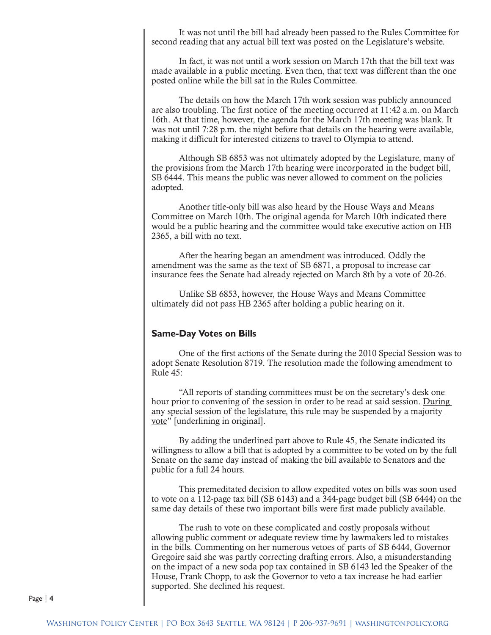It was not until the bill had already been passed to the Rules Committee for second reading that any actual bill text was posted on the Legislature's website.

In fact, it was not until a work session on March 17th that the bill text was made available in a public meeting. Even then, that text was different than the one posted online while the bill sat in the Rules Committee.

The details on how the March 17th work session was publicly announced are also troubling. The first notice of the meeting occurred at 11:42 a.m. on March 16th. At that time, however, the agenda for the March 17th meeting was blank. It was not until 7:28 p.m. the night before that details on the hearing were available, making it difficult for interested citizens to travel to Olympia to attend.

Although SB 6853 was not ultimately adopted by the Legislature, many of the provisions from the March 17th hearing were incorporated in the budget bill, SB 6444. This means the public was never allowed to comment on the policies adopted.

Another title-only bill was also heard by the House Ways and Means Committee on March 10th. The original agenda for March 10th indicated there would be a public hearing and the committee would take executive action on HB 2365, a bill with no text.

After the hearing began an amendment was introduced. Oddly the amendment was the same as the text of SB 6871, a proposal to increase car insurance fees the Senate had already rejected on March 8th by a vote of 20-26.

Unlike SB 6853, however, the House Ways and Means Committee ultimately did not pass HB 2365 after holding a public hearing on it.

#### **Same-Day Votes on Bills**

One of the first actions of the Senate during the 2010 Special Session was to adopt Senate Resolution 8719. The resolution made the following amendment to Rule 45:

"All reports of standing committees must be on the secretary's desk one hour prior to convening of the session in order to be read at said session. During any special session of the legislature, this rule may be suspended by a majority vote" [underlining in original].

By adding the underlined part above to Rule 45, the Senate indicated its willingness to allow a bill that is adopted by a committee to be voted on by the full Senate on the same day instead of making the bill available to Senators and the public for a full 24 hours.

This premeditated decision to allow expedited votes on bills was soon used to vote on a 112-page tax bill (SB 6143) and a 344-page budget bill (SB 6444) on the same day details of these two important bills were first made publicly available.

The rush to vote on these complicated and costly proposals without allowing public comment or adequate review time by lawmakers led to mistakes in the bills. Commenting on her numerous vetoes of parts of SB 6444, Governor Gregoire said she was partly correcting drafting errors. Also, a misunderstanding on the impact of a new soda pop tax contained in SB 6143 led the Speaker of the House, Frank Chopp, to ask the Governor to veto a tax increase he had earlier supported. She declined his request.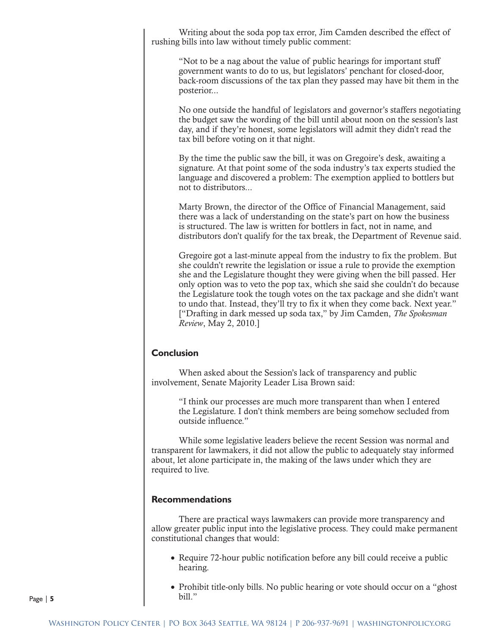Writing about the soda pop tax error, Jim Camden described the effect of rushing bills into law without timely public comment:

"Not to be a nag about the value of public hearings for important stuff government wants to do to us, but legislators' penchant for closed-door, back-room discussions of the tax plan they passed may have bit them in the posterior...

No one outside the handful of legislators and governor's staffers negotiating the budget saw the wording of the bill until about noon on the session's last day, and if they're honest, some legislators will admit they didn't read the tax bill before voting on it that night.

By the time the public saw the bill, it was on Gregoire's desk, awaiting a signature. At that point some of the soda industry's tax experts studied the language and discovered a problem: The exemption applied to bottlers but not to distributors...

Marty Brown, the director of the Office of Financial Management, said there was a lack of understanding on the state's part on how the business is structured. The law is written for bottlers in fact, not in name, and distributors don't qualify for the tax break, the Department of Revenue said.

Gregoire got a last-minute appeal from the industry to fix the problem. But she couldn't rewrite the legislation or issue a rule to provide the exemption she and the Legislature thought they were giving when the bill passed. Her only option was to veto the pop tax, which she said she couldn't do because the Legislature took the tough votes on the tax package and she didn't want to undo that. Instead, they'll try to fix it when they come back. Next year." ["Drafting in dark messed up soda tax," by Jim Camden, *The Spokesman Review*, May 2, 2010.]

#### **Conclusion**

When asked about the Session's lack of transparency and public involvement, Senate Majority Leader Lisa Brown said:

> "I think our processes are much more transparent than when I entered the Legislature. I don't think members are being somehow secluded from outside influence."

While some legislative leaders believe the recent Session was normal and transparent for lawmakers, it did not allow the public to adequately stay informed about, let alone participate in, the making of the laws under which they are required to live.

#### **Recommendations**

There are practical ways lawmakers can provide more transparency and allow greater public input into the legislative process. They could make permanent constitutional changes that would:

- Require 72-hour public notification before any bill could receive a public hearing.
- Prohibit title-only bills. No public hearing or vote should occur on a "ghost" bill."